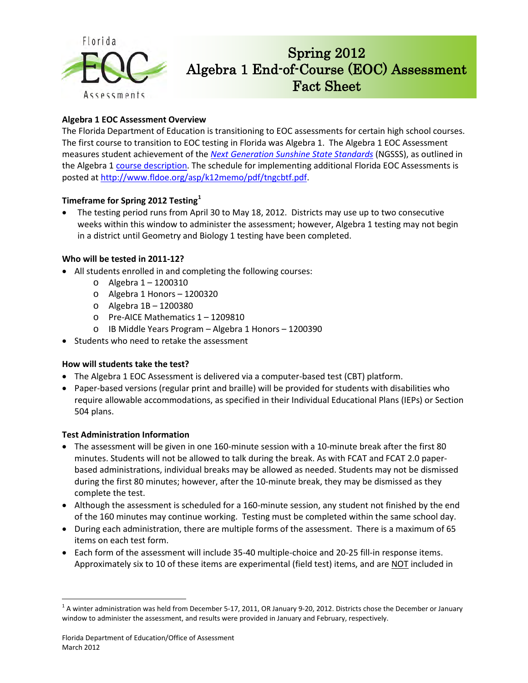

# Spring 2012 Algebra 1 End-of-Course (EOC) Assessment Fact Sheet

## **Algebra 1 EOC Assessment Overview**

The Florida Department of Education is transitioning to EOC assessments for certain high school courses. The first course to transition to EOC testing in Florida was Algebra 1. The Algebra 1 EOC Assessment measures student achievement of the *[Next Generation Sunshine State Standards](http://www.floridastandards.org/index.aspx)* (NGSSS), as outlined in the Algebra 1 [course description.](http://www.floridastandards.org/Courses/PublicPreviewCourse1.aspx) The schedule for implementing additional Florida EOC Assessments is posted a[t http://www.fldoe.org/asp/k12memo/pdf/tngcbtf.pdf.](http://www.fldoe.org/asp/k12memo/pdf/tngcbtf.pdf)

## **Timeframe for Spring 2012 Testing[1](#page-0-0)**

• The testing period runs from April 30 to May 18, 2012. Districts may use up to two consecutive weeks within this window to administer the assessment; however, Algebra 1 testing may not begin in a district until Geometry and Biology 1 testing have been completed.

### **Who will be tested in 2011-12?**

- All students enrolled in and completing the following courses:
	- o Algebra 1 1200310
	- o Algebra 1 Honors 1200320
	- o Algebra 1B 1200380
	- o Pre-AICE Mathematics 1 1209810
	- o IB Middle Years Program Algebra 1 Honors 1200390
- Students who need to retake the assessment

#### **How will students take the test?**

- The Algebra 1 EOC Assessment is delivered via a computer-based test (CBT) platform.
- Paper-based versions (regular print and braille) will be provided for students with disabilities who require allowable accommodations, as specified in their Individual Educational Plans (IEPs) or Section 504 plans.

#### **Test Administration Information**

- The assessment will be given in one 160-minute session with a 10-minute break after the first 80 minutes. Students will not be allowed to talk during the break. As with FCAT and FCAT 2.0 paperbased administrations, individual breaks may be allowed as needed. Students may not be dismissed during the first 80 minutes; however, after the 10-minute break, they may be dismissed as they complete the test.
- Although the assessment is scheduled for a 160-minute session, any student not finished by the end of the 160 minutes may continue working. Testing must be completed within the same school day.
- During each administration, there are multiple forms of the assessment. There is a maximum of 65 items on each test form.
- Each form of the assessment will include 35-40 multiple-choice and 20-25 fill-in response items. Approximately six to 10 of these items are experimental (field test) items, and are NOT included in

 $\overline{a}$ 

<span id="page-0-0"></span> $^1$  A winter administration was held from December 5-17, 2011, OR January 9-20, 2012. Districts chose the December or January window to administer the assessment, and results were provided in January and February, respectively.